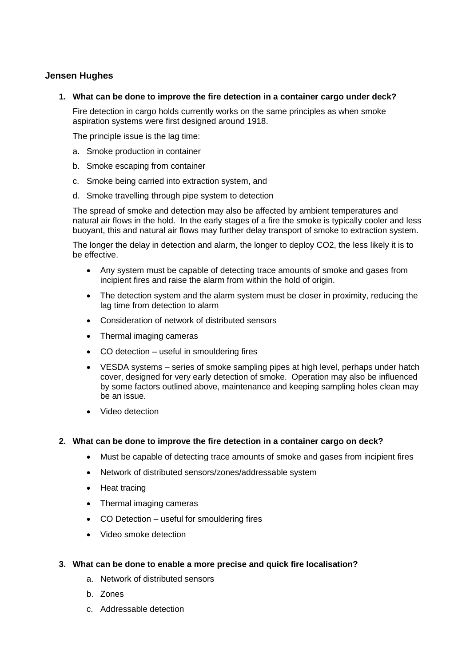# **Jensen Hughes**

**1. What can be done to improve the fire detection in a container cargo under deck?** 

Fire detection in cargo holds currently works on the same principles as when smoke aspiration systems were first designed around 1918.

The principle issue is the lag time:

- a. Smoke production in container
- b. Smoke escaping from container
- c. Smoke being carried into extraction system, and
- d. Smoke travelling through pipe system to detection

The spread of smoke and detection may also be affected by ambient temperatures and natural air flows in the hold. In the early stages of a fire the smoke is typically cooler and less buoyant, this and natural air flows may further delay transport of smoke to extraction system.

The longer the delay in detection and alarm, the longer to deploy CO2, the less likely it is to be effective.

- Any system must be capable of detecting trace amounts of smoke and gases from incipient fires and raise the alarm from within the hold of origin.
- The detection system and the alarm system must be closer in proximity, reducing the lag time from detection to alarm
- Consideration of network of distributed sensors
- Thermal imaging cameras
- CO detection useful in smouldering fires
- VESDA systems series of smoke sampling pipes at high level, perhaps under hatch cover, designed for very early detection of smoke. Operation may also be influenced by some factors outlined above, maintenance and keeping sampling holes clean may be an issue.
- Video detection

#### **2. What can be done to improve the fire detection in a container cargo on deck?**

- Must be capable of detecting trace amounts of smoke and gases from incipient fires
- Network of distributed sensors/zones/addressable system
- Heat tracing
- Thermal imaging cameras
- CO Detection useful for smouldering fires
- Video smoke detection

## **3. What can be done to enable a more precise and quick fire localisation?**

- a. Network of distributed sensors
- b. Zones
- c. Addressable detection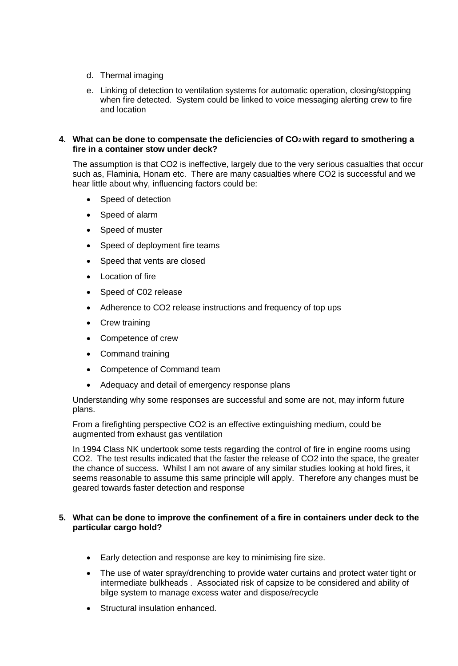- d. Thermal imaging
- e. Linking of detection to ventilation systems for automatic operation, closing/stopping when fire detected. System could be linked to voice messaging alerting crew to fire and location

#### **4. What can be done to compensate the deficiencies of CO2 with regard to smothering a fire in a container stow under deck?**

The assumption is that CO2 is ineffective, largely due to the very serious casualties that occur such as, Flaminia, Honam etc. There are many casualties where CO2 is successful and we hear little about why, influencing factors could be:

- Speed of detection
- Speed of alarm
- Speed of muster
- Speed of deployment fire teams
- Speed that vents are closed
- Location of fire
- Speed of C02 release
- Adherence to CO2 release instructions and frequency of top ups
- Crew training
- Competence of crew
- Command training
- Competence of Command team
- Adequacy and detail of emergency response plans

Understanding why some responses are successful and some are not, may inform future plans.

From a firefighting perspective CO2 is an effective extinguishing medium, could be augmented from exhaust gas ventilation

In 1994 Class NK undertook some tests regarding the control of fire in engine rooms using CO2. The test results indicated that the faster the release of CO2 into the space, the greater the chance of success. Whilst I am not aware of any similar studies looking at hold fires, it seems reasonable to assume this same principle will apply. Therefore any changes must be geared towards faster detection and response

#### **5. What can be done to improve the confinement of a fire in containers under deck to the particular cargo hold?**

- Early detection and response are key to minimising fire size.
- The use of water spray/drenching to provide water curtains and protect water tight or intermediate bulkheads . Associated risk of capsize to be considered and ability of bilge system to manage excess water and dispose/recycle
- Structural insulation enhanced.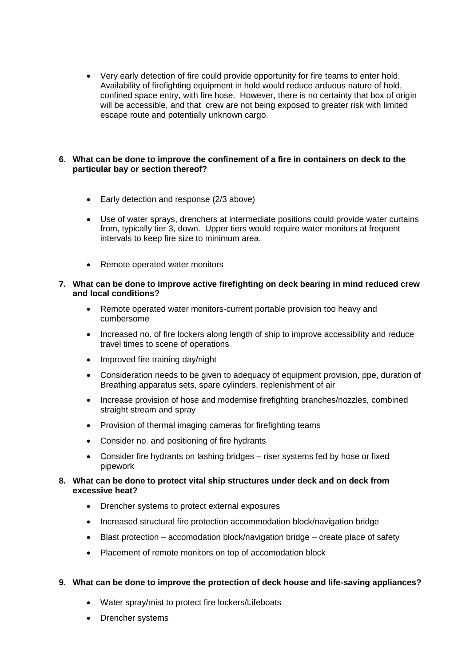Very early detection of fire could provide opportunity for fire teams to enter hold. Availability of firefighting equipment in hold would reduce arduous nature of hold, confined space entry, with fire hose. However, there is no certainty that box of origin will be accessible, and that crew are not being exposed to greater risk with limited escape route and potentially unknown cargo.

## **6. What can be done to improve the confinement of a fire in containers on deck to the particular bay or section thereof?**

- Early detection and response (2/3 above)
- Use of water sprays, drenchers at intermediate positions could provide water curtains from, typically tier 3, down. Upper tiers would require water monitors at frequent intervals to keep fire size to minimum area.
- Remote operated water monitors

#### **7. What can be done to improve active firefighting on deck bearing in mind reduced crew and local conditions?**

- Remote operated water monitors-current portable provision too heavy and cumbersome
- Increased no. of fire lockers along length of ship to improve accessibility and reduce travel times to scene of operations
- Improved fire training day/night
- Consideration needs to be given to adequacy of equipment provision, ppe, duration of Breathing apparatus sets, spare cylinders, replenishment of air
- Increase provision of hose and modernise firefighting branches/nozzles, combined straight stream and spray
- Provision of thermal imaging cameras for firefighting teams
- Consider no. and positioning of fire hydrants
- Consider fire hydrants on lashing bridges riser systems fed by hose or fixed pipework

## **8. What can be done to protect vital ship structures under deck and on deck from excessive heat?**

- Drencher systems to protect external exposures
- Increased structural fire protection accommodation block/navigation bridge
- $\bullet$  Blast protection accomodation block/navigation bridge create place of safety
- Placement of remote monitors on top of accomodation block

# **9. What can be done to improve the protection of deck house and life-saving appliances?**

- Water spray/mist to protect fire lockers/Lifeboats
- Drencher systems